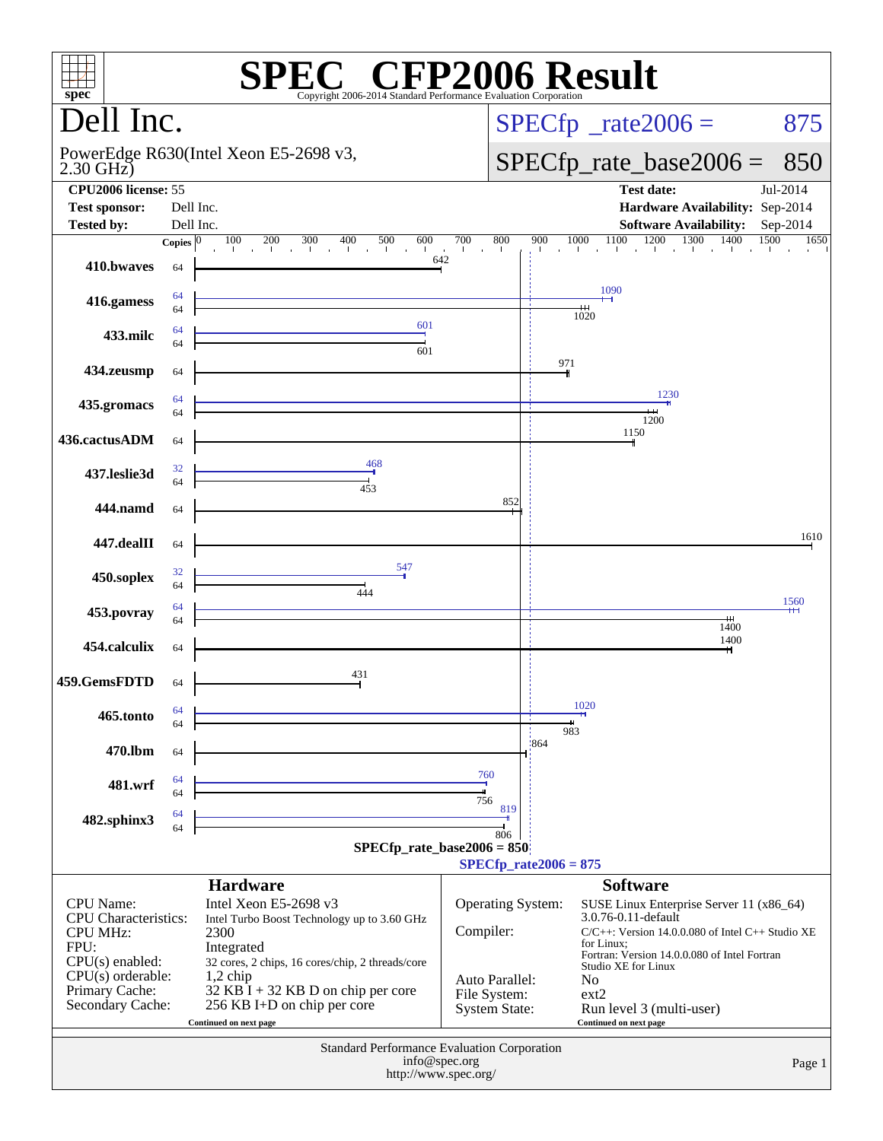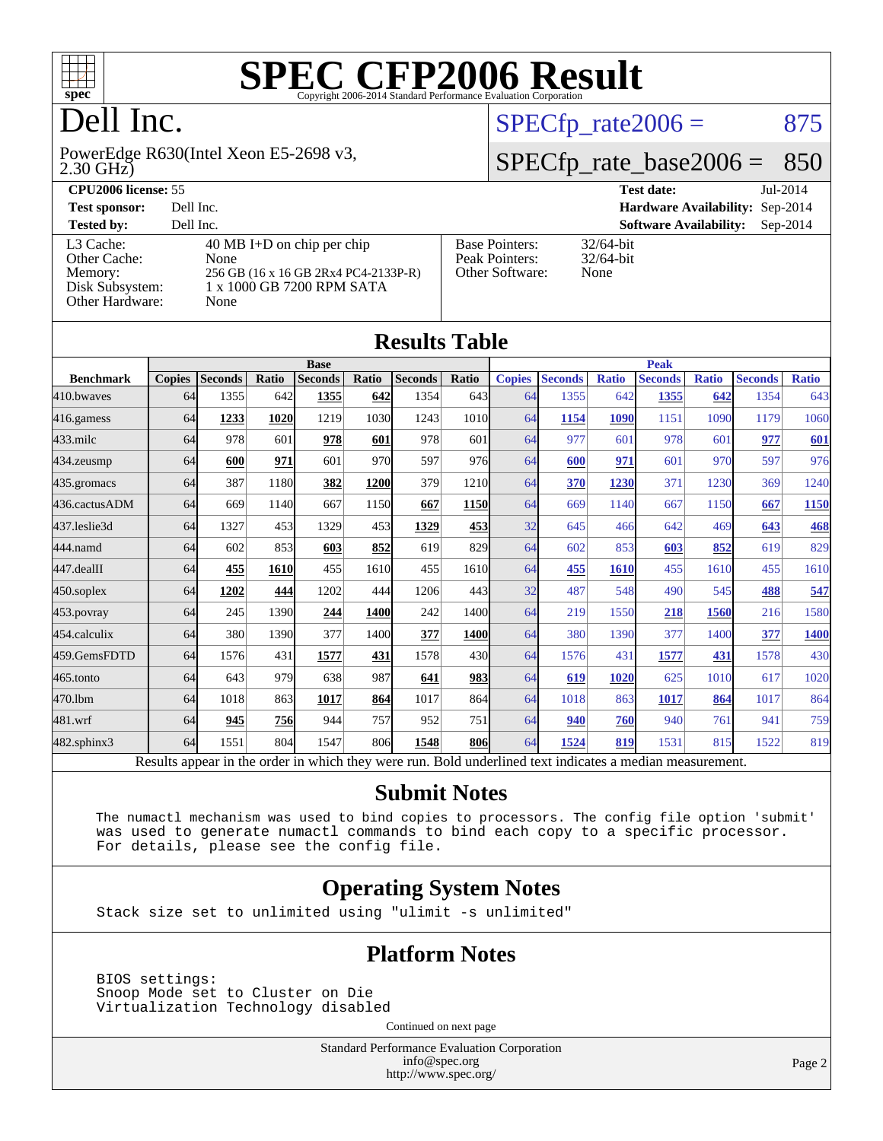

# Dell Inc.

2.30 GHz) PowerEdge R630(Intel Xeon E5-2698 v3,

 $SPECTp_rate2006 = 875$ 

## [SPECfp\\_rate\\_base2006 =](http://www.spec.org/auto/cpu2006/Docs/result-fields.html#SPECfpratebase2006) 850

| CPU <sub>2006</sub> license: 55                                            |                                                                                                                 |                                                            | <b>Test date:</b><br>Jul-2014               |  |  |  |  |
|----------------------------------------------------------------------------|-----------------------------------------------------------------------------------------------------------------|------------------------------------------------------------|---------------------------------------------|--|--|--|--|
| <b>Test sponsor:</b>                                                       | Dell Inc.                                                                                                       |                                                            | Hardware Availability: Sep-2014             |  |  |  |  |
| <b>Tested by:</b>                                                          | Dell Inc.                                                                                                       |                                                            | <b>Software Availability:</b><br>$Sep-2014$ |  |  |  |  |
| L3 Cache:<br>Other Cache:<br>Memory:<br>Disk Subsystem:<br>Other Hardware: | 40 MB I+D on chip per chip<br>None<br>256 GB (16 x 16 GB 2Rx4 PC4-2133P-R)<br>1 x 1000 GB 7200 RPM SATA<br>None | <b>Base Pointers:</b><br>Peak Pointers:<br>Other Software: | $32/64$ -bit<br>$32/64$ -bit<br>None        |  |  |  |  |

**[Results Table](http://www.spec.org/auto/cpu2006/Docs/result-fields.html#ResultsTable)**

| Results Table    |               |                                                                                                          |             |                |       |                |             |               |                |              |                |              |                |              |
|------------------|---------------|----------------------------------------------------------------------------------------------------------|-------------|----------------|-------|----------------|-------------|---------------|----------------|--------------|----------------|--------------|----------------|--------------|
|                  | <b>Base</b>   |                                                                                                          |             |                |       | <b>Peak</b>    |             |               |                |              |                |              |                |              |
| <b>Benchmark</b> | <b>Copies</b> | <b>Seconds</b>                                                                                           | Ratio       | <b>Seconds</b> | Ratio | <b>Seconds</b> | Ratio       | <b>Copies</b> | <b>Seconds</b> | <b>Ratio</b> | <b>Seconds</b> | <b>Ratio</b> | <b>Seconds</b> | <b>Ratio</b> |
| 410.bwayes       | 64            | 1355                                                                                                     | 642         | 1355           | 642   | 1354           | 643         | 64            | 1355           | 642          | 1355           | 642          | 1354           | 643          |
| 416.gamess       | 64            | 1233                                                                                                     | 1020        | 1219           | 1030  | 1243           | 1010        | 64            | 1154           | 1090         | 1151           | 1090         | 1179           | 1060         |
| $433$ .milc      | 64            | 978                                                                                                      | 601         | 978            | 601   | 978            | 601         | 64            | 977            | 601          | 978            | 601          | 977            | 601          |
| 434.zeusmp       | 64            | 600                                                                                                      | 971         | 601            | 970   | 597            | 976         | 64            | 600            | 971          | 601            | 970          | 597            | 976          |
| 435.gromacs      | 64            | 387                                                                                                      | 1180        | 382            | 1200  | 379            | 1210        | 64            | 370            | 1230         | 371            | 1230         | 369            | 1240         |
| 436.cactusADM    | 64            | 669                                                                                                      | 1140        | 667            | 1150  | 667            | <b>1150</b> | 64            | 669            | 1140         | 667            | 1150         | 667            | 1150         |
| 437.leslie3d     | 64            | 1327                                                                                                     | 453         | 1329           | 453   | 1329           | 453         | 32            | 645            | 466          | 642            | 469          | 643            | <b>468</b>   |
| 444.namd         | 64            | 602                                                                                                      | 853         | 603            | 852   | 619            | 829         | 64            | 602            | 853          | 603            | 852          | 619            | 829          |
| $447$ .dealII    | 64            | 455                                                                                                      | <b>1610</b> | 455            | 1610  | 455            | 1610        | 64            | 455            | 1610         | 455            | 1610         | 455            | 1610         |
| 450.soplex       | 64            | 1202                                                                                                     | 444         | 1202           | 444   | 1206           | 443         | 32            | 487            | 548          | 490            | 545          | 488            | 547          |
| 453.povray       | 64            | 245                                                                                                      | 1390        | 244            | 1400  | 242            | 1400        | 64            | 219            | 1550         | 218            | 1560         | 216            | 1580         |
| 454.calculix     | 64            | 380                                                                                                      | 1390        | 377            | 1400  | 377            | 1400        | 64            | 380            | 1390         | 377            | 1400         | 377            | <u>1400</u>  |
| 459.GemsFDTD     | 64            | 1576                                                                                                     | 431         | 1577           | 431   | 1578           | 430l        | 64            | 1576           | 431          | 1577           | 431          | 1578           | 430          |
| 465.tonto        | 64            | 643                                                                                                      | 979         | 638            | 987   | 641            | 983         | 64            | 619            | 1020         | 625            | 1010         | 617            | 1020         |
| 470.1bm          | 64            | 1018                                                                                                     | 863         | 1017           | 864   | 1017           | 864         | 64            | 1018           | 863          | 1017           | 864          | 1017           | 864          |
| 481.wrf          | 64            | 945                                                                                                      | 756         | 944            | 757   | 952            | 751         | 64            | 940            | 760          | 940            | 761          | 941            | 759          |
| 482.sphinx3      | 64            | 1551                                                                                                     | 804         | 1547           | 806   | 1548           | <b>806</b>  | 64            | 1524           | 819          | 1531           | 815          | 1522           | 819          |
|                  |               | Results appear in the order in which they were run. Bold underlined text indicates a median measurement. |             |                |       |                |             |               |                |              |                |              |                |              |

#### **[Submit Notes](http://www.spec.org/auto/cpu2006/Docs/result-fields.html#SubmitNotes)**

 The numactl mechanism was used to bind copies to processors. The config file option 'submit' was used to generate numactl commands to bind each copy to a specific processor. For details, please see the config file.

#### **[Operating System Notes](http://www.spec.org/auto/cpu2006/Docs/result-fields.html#OperatingSystemNotes)**

Stack size set to unlimited using "ulimit -s unlimited"

#### **[Platform Notes](http://www.spec.org/auto/cpu2006/Docs/result-fields.html#PlatformNotes)**

 BIOS settings: Snoop Mode set to Cluster on Die Virtualization Technology disabled

Continued on next page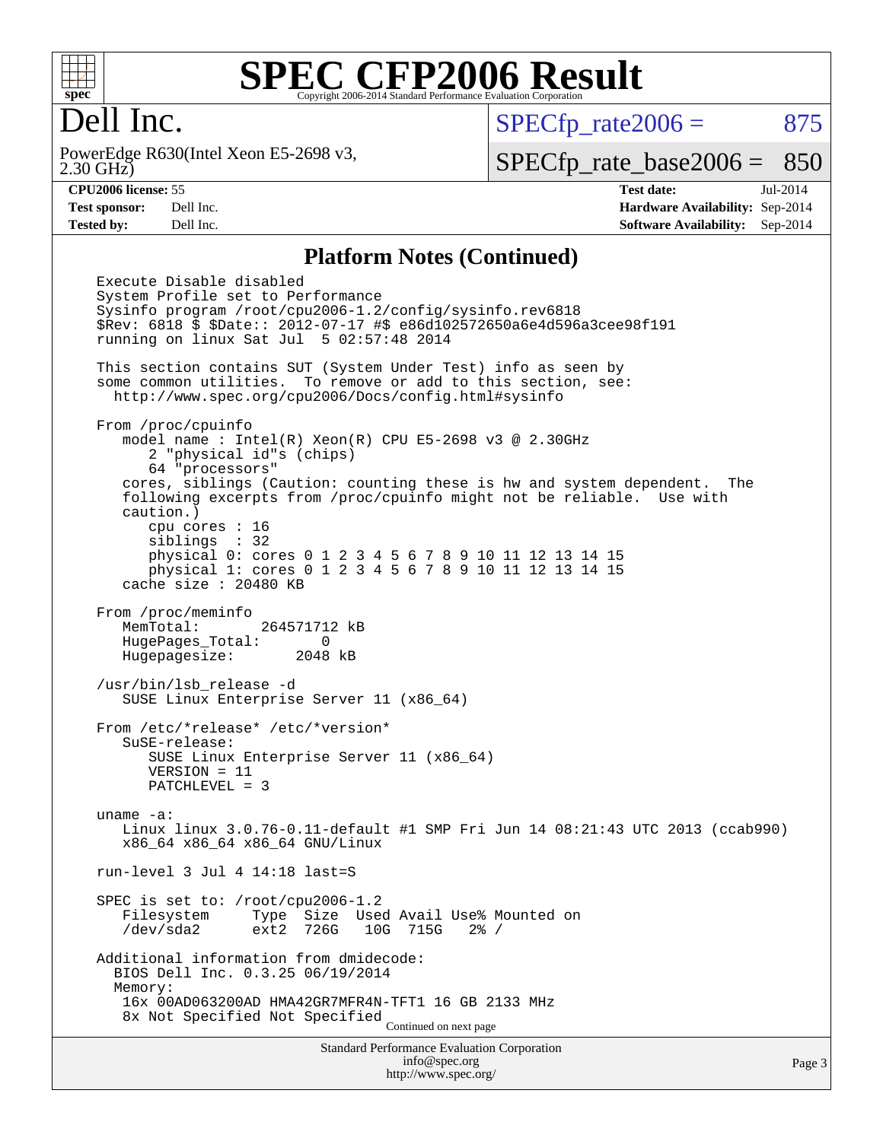

### Dell Inc.

2.30 GHz) PowerEdge R630(Intel Xeon E5-2698 v3,  $SPECTp_rate2006 = 875$ 

[SPECfp\\_rate\\_base2006 =](http://www.spec.org/auto/cpu2006/Docs/result-fields.html#SPECfpratebase2006) 850

**[CPU2006 license:](http://www.spec.org/auto/cpu2006/Docs/result-fields.html#CPU2006license)** 55 **[Test date:](http://www.spec.org/auto/cpu2006/Docs/result-fields.html#Testdate)** Jul-2014 **[Test sponsor:](http://www.spec.org/auto/cpu2006/Docs/result-fields.html#Testsponsor)** Dell Inc. **[Hardware Availability:](http://www.spec.org/auto/cpu2006/Docs/result-fields.html#HardwareAvailability)** Sep-2014 **[Tested by:](http://www.spec.org/auto/cpu2006/Docs/result-fields.html#Testedby)** Dell Inc. **[Software Availability:](http://www.spec.org/auto/cpu2006/Docs/result-fields.html#SoftwareAvailability)** Sep-2014

#### **[Platform Notes \(Continued\)](http://www.spec.org/auto/cpu2006/Docs/result-fields.html#PlatformNotes)**

Standard Performance Evaluation Corporation [info@spec.org](mailto:info@spec.org) Execute Disable disabled System Profile set to Performance Sysinfo program /root/cpu2006-1.2/config/sysinfo.rev6818 \$Rev: 6818 \$ \$Date:: 2012-07-17 #\$ e86d102572650a6e4d596a3cee98f191 running on linux Sat Jul 5 02:57:48 2014 This section contains SUT (System Under Test) info as seen by some common utilities. To remove or add to this section, see: <http://www.spec.org/cpu2006/Docs/config.html#sysinfo> From /proc/cpuinfo model name : Intel(R) Xeon(R) CPU E5-2698 v3 @ 2.30GHz 2 "physical id"s (chips) 64 "processors" cores, siblings (Caution: counting these is hw and system dependent. The following excerpts from /proc/cpuinfo might not be reliable. Use with caution.) cpu cores : 16 siblings : 32 physical 0: cores 0 1 2 3 4 5 6 7 8 9 10 11 12 13 14 15 physical 1: cores 0 1 2 3 4 5 6 7 8 9 10 11 12 13 14 15 cache size : 20480 KB From /proc/meminfo MemTotal: 264571712 kB HugePages\_Total: 0 Hugepagesize: 2048 kB /usr/bin/lsb\_release -d SUSE Linux Enterprise Server 11 (x86\_64) From /etc/\*release\* /etc/\*version\* SuSE-release: SUSE Linux Enterprise Server 11 (x86\_64) VERSION = 11 PATCHLEVEL = 3 uname -a: Linux linux 3.0.76-0.11-default #1 SMP Fri Jun 14 08:21:43 UTC 2013 (ccab990) x86\_64 x86\_64 x86\_64 GNU/Linux run-level 3 Jul 4 14:18 last=S SPEC is set to: /root/cpu2006-1.2<br>Filesystem Type Size Use Type Size Used Avail Use% Mounted on /dev/sda2 ext2 726G 10G 715G 2% / Additional information from dmidecode: BIOS Dell Inc. 0.3.25 06/19/2014 Memory: 16x 00AD063200AD HMA42GR7MFR4N-TFT1 16 GB 2133 MHz 8x Not Specified Not Specified Continued on next page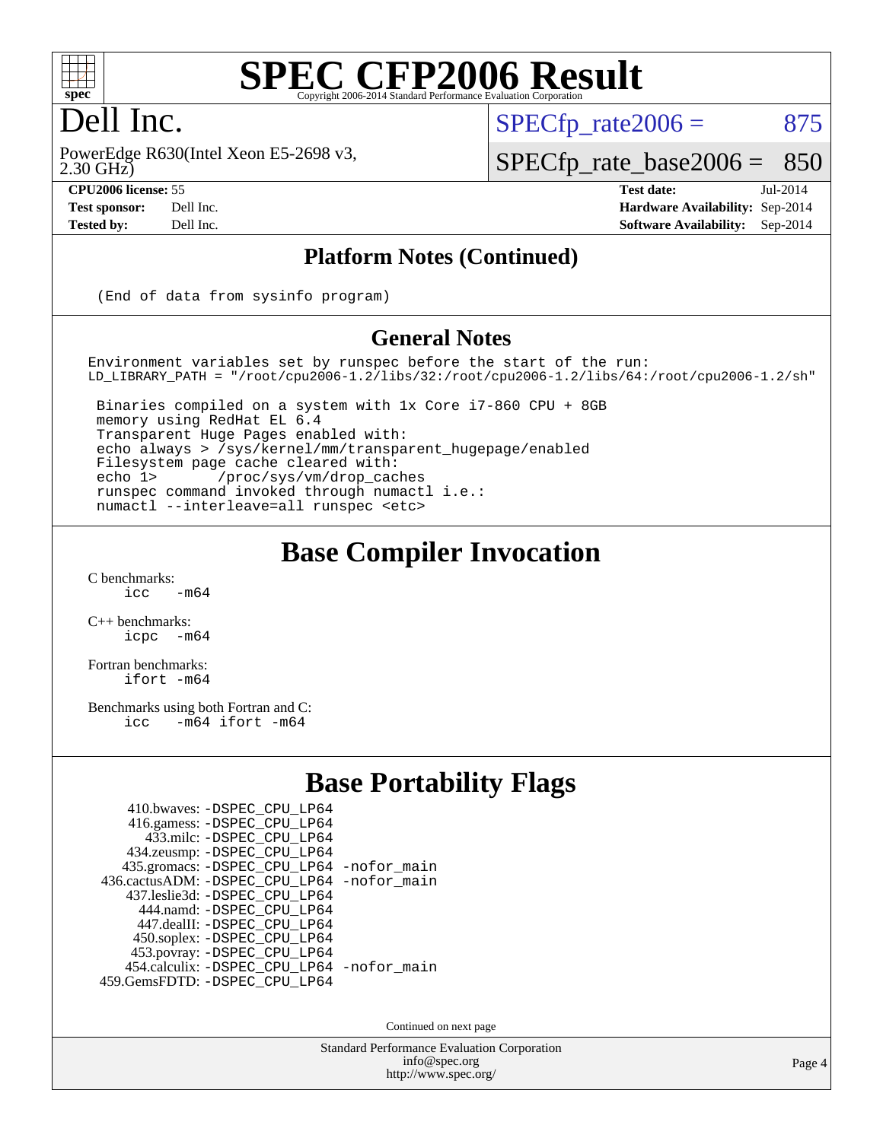

### Dell Inc.

2.30 GHz) PowerEdge R630(Intel Xeon E5-2698 v3,

 $SPECTp\_rate2006 = 875$ 

[SPECfp\\_rate\\_base2006 =](http://www.spec.org/auto/cpu2006/Docs/result-fields.html#SPECfpratebase2006) 850

**[CPU2006 license:](http://www.spec.org/auto/cpu2006/Docs/result-fields.html#CPU2006license)** 55 **[Test date:](http://www.spec.org/auto/cpu2006/Docs/result-fields.html#Testdate)** Jul-2014 **[Test sponsor:](http://www.spec.org/auto/cpu2006/Docs/result-fields.html#Testsponsor)** Dell Inc. **[Hardware Availability:](http://www.spec.org/auto/cpu2006/Docs/result-fields.html#HardwareAvailability)** Sep-2014 **[Tested by:](http://www.spec.org/auto/cpu2006/Docs/result-fields.html#Testedby)** Dell Inc. **[Software Availability:](http://www.spec.org/auto/cpu2006/Docs/result-fields.html#SoftwareAvailability)** Sep-2014

#### **[Platform Notes \(Continued\)](http://www.spec.org/auto/cpu2006/Docs/result-fields.html#PlatformNotes)**

(End of data from sysinfo program)

#### **[General Notes](http://www.spec.org/auto/cpu2006/Docs/result-fields.html#GeneralNotes)**

Environment variables set by runspec before the start of the run: LD\_LIBRARY\_PATH = "/root/cpu2006-1.2/libs/32:/root/cpu2006-1.2/libs/64:/root/cpu2006-1.2/sh"

 Binaries compiled on a system with 1x Core i7-860 CPU + 8GB memory using RedHat EL 6.4 Transparent Huge Pages enabled with: echo always > /sys/kernel/mm/transparent\_hugepage/enabled Filesystem page cache cleared with: echo 1> /proc/sys/vm/drop\_caches runspec command invoked through numactl i.e.: numactl --interleave=all runspec <etc>

#### **[Base Compiler Invocation](http://www.spec.org/auto/cpu2006/Docs/result-fields.html#BaseCompilerInvocation)**

 $C$  benchmarks:<br>icc  $-m64$ 

[C++ benchmarks:](http://www.spec.org/auto/cpu2006/Docs/result-fields.html#CXXbenchmarks) [icpc -m64](http://www.spec.org/cpu2006/results/res2014q3/cpu2006-20140909-31332.flags.html#user_CXXbase_intel_icpc_64bit_bedb90c1146cab66620883ef4f41a67e)

[Fortran benchmarks](http://www.spec.org/auto/cpu2006/Docs/result-fields.html#Fortranbenchmarks): [ifort -m64](http://www.spec.org/cpu2006/results/res2014q3/cpu2006-20140909-31332.flags.html#user_FCbase_intel_ifort_64bit_ee9d0fb25645d0210d97eb0527dcc06e)

[Benchmarks using both Fortran and C](http://www.spec.org/auto/cpu2006/Docs/result-fields.html#BenchmarksusingbothFortranandC): [icc -m64](http://www.spec.org/cpu2006/results/res2014q3/cpu2006-20140909-31332.flags.html#user_CC_FCbase_intel_icc_64bit_0b7121f5ab7cfabee23d88897260401c) [ifort -m64](http://www.spec.org/cpu2006/results/res2014q3/cpu2006-20140909-31332.flags.html#user_CC_FCbase_intel_ifort_64bit_ee9d0fb25645d0210d97eb0527dcc06e)

#### **[Base Portability Flags](http://www.spec.org/auto/cpu2006/Docs/result-fields.html#BasePortabilityFlags)**

| 410.bwaves: - DSPEC_CPU_LP64               |  |
|--------------------------------------------|--|
| 416.gamess: - DSPEC_CPU_LP64               |  |
| 433.milc: -DSPEC CPU LP64                  |  |
| 434.zeusmp: -DSPEC_CPU_LP64                |  |
| 435.gromacs: -DSPEC_CPU_LP64 -nofor_main   |  |
| 436.cactusADM: -DSPEC CPU LP64 -nofor main |  |
| 437.leslie3d: -DSPEC CPU LP64              |  |
| 444.namd: - DSPEC CPU LP64                 |  |
| 447.dealII: -DSPEC_CPU LP64                |  |
| 450.soplex: -DSPEC_CPU_LP64                |  |
| 453.povray: -DSPEC_CPU_LP64                |  |
| 454.calculix: - DSPEC_CPU_LP64 -nofor_main |  |
| 459.GemsFDTD: - DSPEC_CPU_LP64             |  |
|                                            |  |

Continued on next page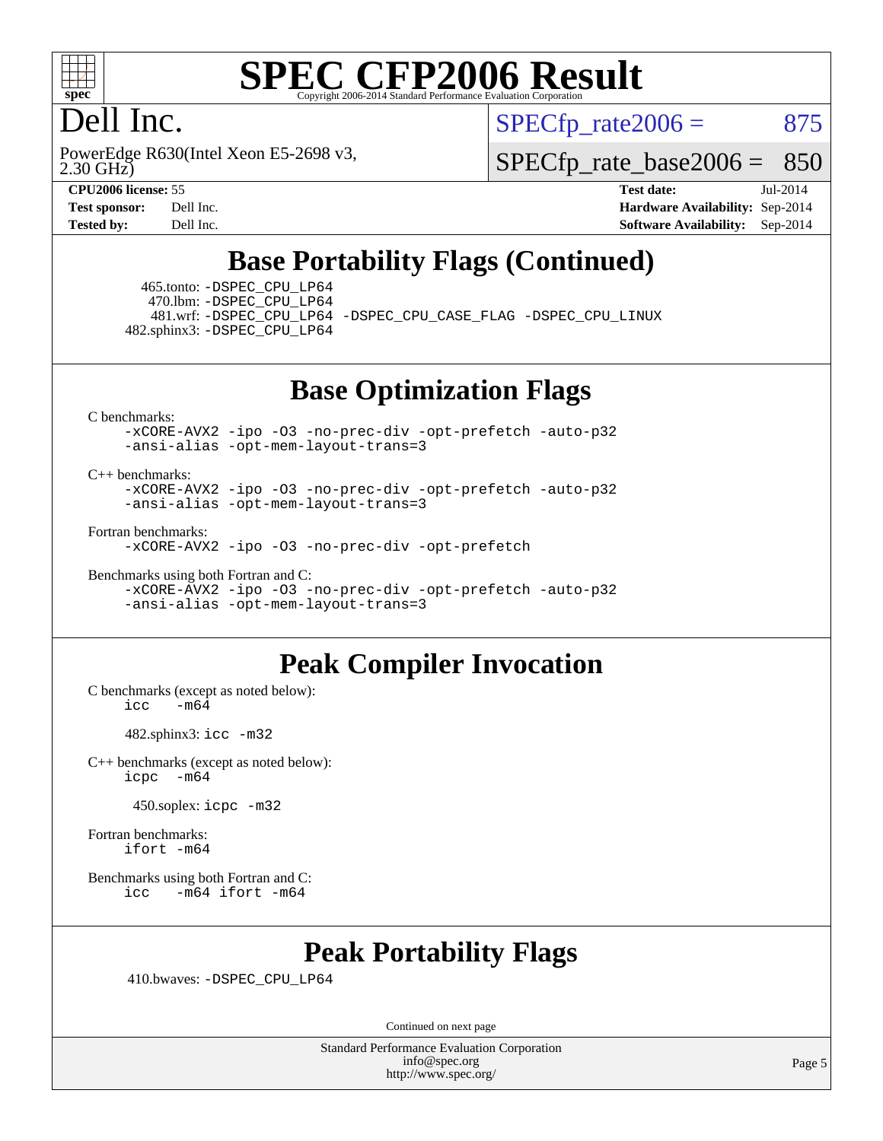

### Dell Inc.

2.30 GHz) PowerEdge R630(Intel Xeon E5-2698 v3,  $SPECTp\_rate2006 = 875$ 

[SPECfp\\_rate\\_base2006 =](http://www.spec.org/auto/cpu2006/Docs/result-fields.html#SPECfpratebase2006) 850

**[CPU2006 license:](http://www.spec.org/auto/cpu2006/Docs/result-fields.html#CPU2006license)** 55 **[Test date:](http://www.spec.org/auto/cpu2006/Docs/result-fields.html#Testdate)** Jul-2014 **[Test sponsor:](http://www.spec.org/auto/cpu2006/Docs/result-fields.html#Testsponsor)** Dell Inc. **[Hardware Availability:](http://www.spec.org/auto/cpu2006/Docs/result-fields.html#HardwareAvailability)** Sep-2014 **[Tested by:](http://www.spec.org/auto/cpu2006/Docs/result-fields.html#Testedby)** Dell Inc. **[Software Availability:](http://www.spec.org/auto/cpu2006/Docs/result-fields.html#SoftwareAvailability)** Sep-2014

### **[Base Portability Flags \(Continued\)](http://www.spec.org/auto/cpu2006/Docs/result-fields.html#BasePortabilityFlags)**

 465.tonto: [-DSPEC\\_CPU\\_LP64](http://www.spec.org/cpu2006/results/res2014q3/cpu2006-20140909-31332.flags.html#suite_basePORTABILITY465_tonto_DSPEC_CPU_LP64) 470.lbm: [-DSPEC\\_CPU\\_LP64](http://www.spec.org/cpu2006/results/res2014q3/cpu2006-20140909-31332.flags.html#suite_basePORTABILITY470_lbm_DSPEC_CPU_LP64)

 481.wrf: [-DSPEC\\_CPU\\_LP64](http://www.spec.org/cpu2006/results/res2014q3/cpu2006-20140909-31332.flags.html#suite_basePORTABILITY481_wrf_DSPEC_CPU_LP64) [-DSPEC\\_CPU\\_CASE\\_FLAG](http://www.spec.org/cpu2006/results/res2014q3/cpu2006-20140909-31332.flags.html#b481.wrf_baseCPORTABILITY_DSPEC_CPU_CASE_FLAG) [-DSPEC\\_CPU\\_LINUX](http://www.spec.org/cpu2006/results/res2014q3/cpu2006-20140909-31332.flags.html#b481.wrf_baseCPORTABILITY_DSPEC_CPU_LINUX) 482.sphinx3: [-DSPEC\\_CPU\\_LP64](http://www.spec.org/cpu2006/results/res2014q3/cpu2006-20140909-31332.flags.html#suite_basePORTABILITY482_sphinx3_DSPEC_CPU_LP64)

**[Base Optimization Flags](http://www.spec.org/auto/cpu2006/Docs/result-fields.html#BaseOptimizationFlags)**

[C benchmarks](http://www.spec.org/auto/cpu2006/Docs/result-fields.html#Cbenchmarks):

[-xCORE-AVX2](http://www.spec.org/cpu2006/results/res2014q3/cpu2006-20140909-31332.flags.html#user_CCbase_f-xAVX2_5f5fc0cbe2c9f62c816d3e45806c70d7) [-ipo](http://www.spec.org/cpu2006/results/res2014q3/cpu2006-20140909-31332.flags.html#user_CCbase_f-ipo) [-O3](http://www.spec.org/cpu2006/results/res2014q3/cpu2006-20140909-31332.flags.html#user_CCbase_f-O3) [-no-prec-div](http://www.spec.org/cpu2006/results/res2014q3/cpu2006-20140909-31332.flags.html#user_CCbase_f-no-prec-div) [-opt-prefetch](http://www.spec.org/cpu2006/results/res2014q3/cpu2006-20140909-31332.flags.html#user_CCbase_f-opt-prefetch) [-auto-p32](http://www.spec.org/cpu2006/results/res2014q3/cpu2006-20140909-31332.flags.html#user_CCbase_f-auto-p32) [-ansi-alias](http://www.spec.org/cpu2006/results/res2014q3/cpu2006-20140909-31332.flags.html#user_CCbase_f-ansi-alias) [-opt-mem-layout-trans=3](http://www.spec.org/cpu2006/results/res2014q3/cpu2006-20140909-31332.flags.html#user_CCbase_f-opt-mem-layout-trans_a7b82ad4bd7abf52556d4961a2ae94d5)

#### [C++ benchmarks:](http://www.spec.org/auto/cpu2006/Docs/result-fields.html#CXXbenchmarks)

[-xCORE-AVX2](http://www.spec.org/cpu2006/results/res2014q3/cpu2006-20140909-31332.flags.html#user_CXXbase_f-xAVX2_5f5fc0cbe2c9f62c816d3e45806c70d7) [-ipo](http://www.spec.org/cpu2006/results/res2014q3/cpu2006-20140909-31332.flags.html#user_CXXbase_f-ipo) [-O3](http://www.spec.org/cpu2006/results/res2014q3/cpu2006-20140909-31332.flags.html#user_CXXbase_f-O3) [-no-prec-div](http://www.spec.org/cpu2006/results/res2014q3/cpu2006-20140909-31332.flags.html#user_CXXbase_f-no-prec-div) [-opt-prefetch](http://www.spec.org/cpu2006/results/res2014q3/cpu2006-20140909-31332.flags.html#user_CXXbase_f-opt-prefetch) [-auto-p32](http://www.spec.org/cpu2006/results/res2014q3/cpu2006-20140909-31332.flags.html#user_CXXbase_f-auto-p32) [-ansi-alias](http://www.spec.org/cpu2006/results/res2014q3/cpu2006-20140909-31332.flags.html#user_CXXbase_f-ansi-alias) [-opt-mem-layout-trans=3](http://www.spec.org/cpu2006/results/res2014q3/cpu2006-20140909-31332.flags.html#user_CXXbase_f-opt-mem-layout-trans_a7b82ad4bd7abf52556d4961a2ae94d5)

[Fortran benchmarks](http://www.spec.org/auto/cpu2006/Docs/result-fields.html#Fortranbenchmarks):

[-xCORE-AVX2](http://www.spec.org/cpu2006/results/res2014q3/cpu2006-20140909-31332.flags.html#user_FCbase_f-xAVX2_5f5fc0cbe2c9f62c816d3e45806c70d7) [-ipo](http://www.spec.org/cpu2006/results/res2014q3/cpu2006-20140909-31332.flags.html#user_FCbase_f-ipo) [-O3](http://www.spec.org/cpu2006/results/res2014q3/cpu2006-20140909-31332.flags.html#user_FCbase_f-O3) [-no-prec-div](http://www.spec.org/cpu2006/results/res2014q3/cpu2006-20140909-31332.flags.html#user_FCbase_f-no-prec-div) [-opt-prefetch](http://www.spec.org/cpu2006/results/res2014q3/cpu2006-20140909-31332.flags.html#user_FCbase_f-opt-prefetch)

[Benchmarks using both Fortran and C](http://www.spec.org/auto/cpu2006/Docs/result-fields.html#BenchmarksusingbothFortranandC):

[-xCORE-AVX2](http://www.spec.org/cpu2006/results/res2014q3/cpu2006-20140909-31332.flags.html#user_CC_FCbase_f-xAVX2_5f5fc0cbe2c9f62c816d3e45806c70d7) [-ipo](http://www.spec.org/cpu2006/results/res2014q3/cpu2006-20140909-31332.flags.html#user_CC_FCbase_f-ipo) [-O3](http://www.spec.org/cpu2006/results/res2014q3/cpu2006-20140909-31332.flags.html#user_CC_FCbase_f-O3) [-no-prec-div](http://www.spec.org/cpu2006/results/res2014q3/cpu2006-20140909-31332.flags.html#user_CC_FCbase_f-no-prec-div) [-opt-prefetch](http://www.spec.org/cpu2006/results/res2014q3/cpu2006-20140909-31332.flags.html#user_CC_FCbase_f-opt-prefetch) [-auto-p32](http://www.spec.org/cpu2006/results/res2014q3/cpu2006-20140909-31332.flags.html#user_CC_FCbase_f-auto-p32) [-ansi-alias](http://www.spec.org/cpu2006/results/res2014q3/cpu2006-20140909-31332.flags.html#user_CC_FCbase_f-ansi-alias) [-opt-mem-layout-trans=3](http://www.spec.org/cpu2006/results/res2014q3/cpu2006-20140909-31332.flags.html#user_CC_FCbase_f-opt-mem-layout-trans_a7b82ad4bd7abf52556d4961a2ae94d5)

#### **[Peak Compiler Invocation](http://www.spec.org/auto/cpu2006/Docs/result-fields.html#PeakCompilerInvocation)**

[C benchmarks \(except as noted below\)](http://www.spec.org/auto/cpu2006/Docs/result-fields.html#Cbenchmarksexceptasnotedbelow):  $icc$   $-m64$ 

482.sphinx3: [icc -m32](http://www.spec.org/cpu2006/results/res2014q3/cpu2006-20140909-31332.flags.html#user_peakCCLD482_sphinx3_intel_icc_a6a621f8d50482236b970c6ac5f55f93)

[C++ benchmarks \(except as noted below\):](http://www.spec.org/auto/cpu2006/Docs/result-fields.html#CXXbenchmarksexceptasnotedbelow) [icpc -m64](http://www.spec.org/cpu2006/results/res2014q3/cpu2006-20140909-31332.flags.html#user_CXXpeak_intel_icpc_64bit_bedb90c1146cab66620883ef4f41a67e)

450.soplex: [icpc -m32](http://www.spec.org/cpu2006/results/res2014q3/cpu2006-20140909-31332.flags.html#user_peakCXXLD450_soplex_intel_icpc_4e5a5ef1a53fd332b3c49e69c3330699)

[Fortran benchmarks](http://www.spec.org/auto/cpu2006/Docs/result-fields.html#Fortranbenchmarks): [ifort -m64](http://www.spec.org/cpu2006/results/res2014q3/cpu2006-20140909-31332.flags.html#user_FCpeak_intel_ifort_64bit_ee9d0fb25645d0210d97eb0527dcc06e)

[Benchmarks using both Fortran and C](http://www.spec.org/auto/cpu2006/Docs/result-fields.html#BenchmarksusingbothFortranandC): [icc -m64](http://www.spec.org/cpu2006/results/res2014q3/cpu2006-20140909-31332.flags.html#user_CC_FCpeak_intel_icc_64bit_0b7121f5ab7cfabee23d88897260401c) [ifort -m64](http://www.spec.org/cpu2006/results/res2014q3/cpu2006-20140909-31332.flags.html#user_CC_FCpeak_intel_ifort_64bit_ee9d0fb25645d0210d97eb0527dcc06e)

#### **[Peak Portability Flags](http://www.spec.org/auto/cpu2006/Docs/result-fields.html#PeakPortabilityFlags)**

410.bwaves: [-DSPEC\\_CPU\\_LP64](http://www.spec.org/cpu2006/results/res2014q3/cpu2006-20140909-31332.flags.html#suite_peakPORTABILITY410_bwaves_DSPEC_CPU_LP64)

Continued on next page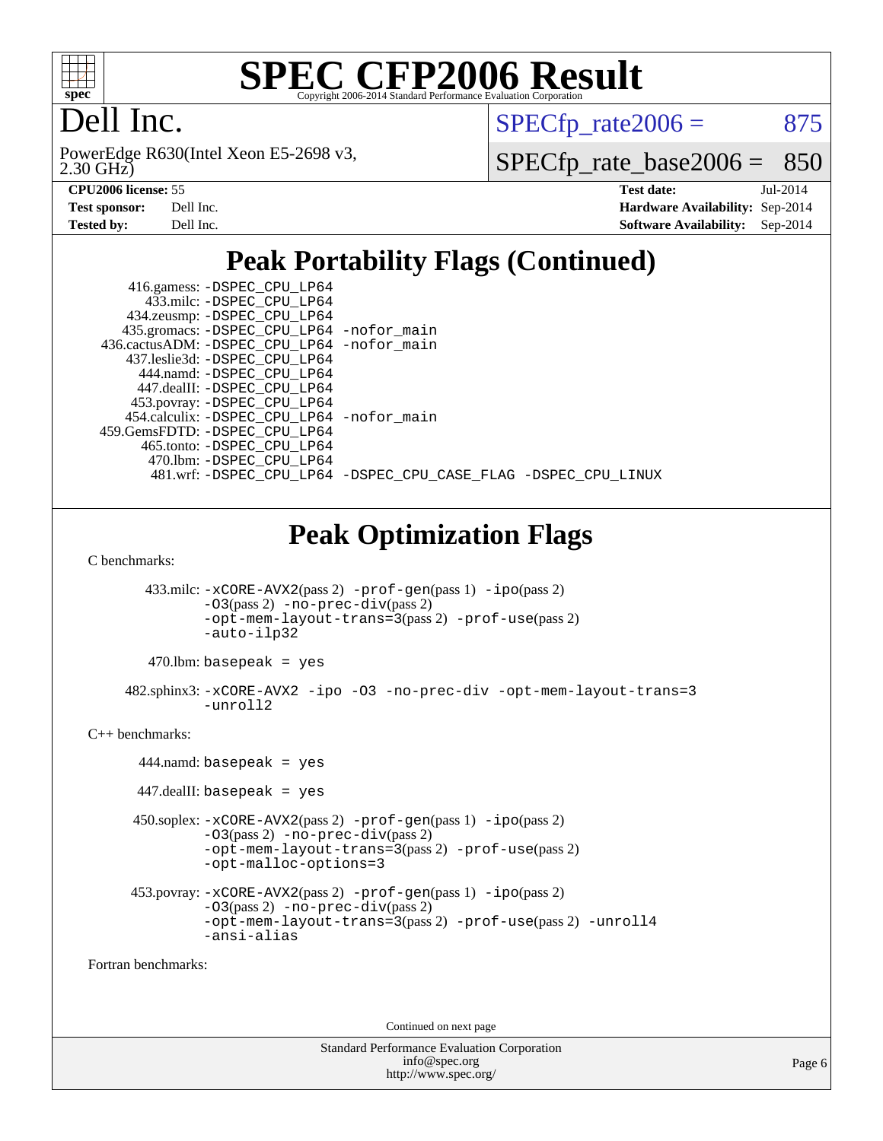

## Dell Inc.

2.30 GHz) PowerEdge R630(Intel Xeon E5-2698 v3,  $SPECTp\_rate2006 = 875$ 

[SPECfp\\_rate\\_base2006 =](http://www.spec.org/auto/cpu2006/Docs/result-fields.html#SPECfpratebase2006) 850

| Test sponsor:     | Dell Inc. |
|-------------------|-----------|
| <b>Tested by:</b> | Dell Inc. |

**[CPU2006 license:](http://www.spec.org/auto/cpu2006/Docs/result-fields.html#CPU2006license)** 55 **[Test date:](http://www.spec.org/auto/cpu2006/Docs/result-fields.html#Testdate)** Jul-2014 **[Hardware Availability:](http://www.spec.org/auto/cpu2006/Docs/result-fields.html#HardwareAvailability)** Sep-2014 **[Software Availability:](http://www.spec.org/auto/cpu2006/Docs/result-fields.html#SoftwareAvailability)** Sep-2014

### **[Peak Portability Flags \(Continued\)](http://www.spec.org/auto/cpu2006/Docs/result-fields.html#PeakPortabilityFlags)**

| 416.gamess: -DSPEC_CPU_LP64<br>433.milc: -DSPEC CPU LP64<br>434.zeusmp: -DSPEC_CPU_LP64<br>435.gromacs: -DSPEC_CPU_LP64 -nofor_main |                                                                |
|-------------------------------------------------------------------------------------------------------------------------------------|----------------------------------------------------------------|
| 436.cactusADM: -DSPEC CPU LP64 -nofor main                                                                                          |                                                                |
| 437.leslie3d: -DSPEC CPU LP64                                                                                                       |                                                                |
| 444.namd: -DSPEC CPU LP64                                                                                                           |                                                                |
| 447.dealII: -DSPEC CPU LP64                                                                                                         |                                                                |
| 453.povray: -DSPEC_CPU_LP64                                                                                                         |                                                                |
| 454.calculix: - DSPEC CPU LP64 - nofor main                                                                                         |                                                                |
| 459. GemsFDTD: - DSPEC CPU LP64                                                                                                     |                                                                |
| 465.tonto: - DSPEC CPU LP64                                                                                                         |                                                                |
| 470.1bm: - DSPEC CPU LP64                                                                                                           |                                                                |
|                                                                                                                                     | 481.wrf: -DSPEC_CPU_LP64 -DSPEC_CPU_CASE_FLAG -DSPEC_CPU_LINUX |

### **[Peak Optimization Flags](http://www.spec.org/auto/cpu2006/Docs/result-fields.html#PeakOptimizationFlags)**

[C benchmarks](http://www.spec.org/auto/cpu2006/Docs/result-fields.html#Cbenchmarks):

 433.milc: [-xCORE-AVX2](http://www.spec.org/cpu2006/results/res2014q3/cpu2006-20140909-31332.flags.html#user_peakPASS2_CFLAGSPASS2_LDFLAGS433_milc_f-xAVX2_5f5fc0cbe2c9f62c816d3e45806c70d7)(pass 2) [-prof-gen](http://www.spec.org/cpu2006/results/res2014q3/cpu2006-20140909-31332.flags.html#user_peakPASS1_CFLAGSPASS1_LDFLAGS433_milc_prof_gen_e43856698f6ca7b7e442dfd80e94a8fc)(pass 1) [-ipo](http://www.spec.org/cpu2006/results/res2014q3/cpu2006-20140909-31332.flags.html#user_peakPASS2_CFLAGSPASS2_LDFLAGS433_milc_f-ipo)(pass 2) [-O3](http://www.spec.org/cpu2006/results/res2014q3/cpu2006-20140909-31332.flags.html#user_peakPASS2_CFLAGSPASS2_LDFLAGS433_milc_f-O3)(pass 2) [-no-prec-div](http://www.spec.org/cpu2006/results/res2014q3/cpu2006-20140909-31332.flags.html#user_peakPASS2_CFLAGSPASS2_LDFLAGS433_milc_f-no-prec-div)(pass 2) [-opt-mem-layout-trans=3](http://www.spec.org/cpu2006/results/res2014q3/cpu2006-20140909-31332.flags.html#user_peakPASS2_CFLAGS433_milc_f-opt-mem-layout-trans_a7b82ad4bd7abf52556d4961a2ae94d5)(pass 2) [-prof-use](http://www.spec.org/cpu2006/results/res2014q3/cpu2006-20140909-31332.flags.html#user_peakPASS2_CFLAGSPASS2_LDFLAGS433_milc_prof_use_bccf7792157ff70d64e32fe3e1250b55)(pass 2) [-auto-ilp32](http://www.spec.org/cpu2006/results/res2014q3/cpu2006-20140909-31332.flags.html#user_peakCOPTIMIZE433_milc_f-auto-ilp32)

 $470$ .lbm: basepeak = yes

 482.sphinx3: [-xCORE-AVX2](http://www.spec.org/cpu2006/results/res2014q3/cpu2006-20140909-31332.flags.html#user_peakOPTIMIZE482_sphinx3_f-xAVX2_5f5fc0cbe2c9f62c816d3e45806c70d7) [-ipo](http://www.spec.org/cpu2006/results/res2014q3/cpu2006-20140909-31332.flags.html#user_peakOPTIMIZE482_sphinx3_f-ipo) [-O3](http://www.spec.org/cpu2006/results/res2014q3/cpu2006-20140909-31332.flags.html#user_peakOPTIMIZE482_sphinx3_f-O3) [-no-prec-div](http://www.spec.org/cpu2006/results/res2014q3/cpu2006-20140909-31332.flags.html#user_peakOPTIMIZE482_sphinx3_f-no-prec-div) [-opt-mem-layout-trans=3](http://www.spec.org/cpu2006/results/res2014q3/cpu2006-20140909-31332.flags.html#user_peakOPTIMIZE482_sphinx3_f-opt-mem-layout-trans_a7b82ad4bd7abf52556d4961a2ae94d5) [-unroll2](http://www.spec.org/cpu2006/results/res2014q3/cpu2006-20140909-31332.flags.html#user_peakCOPTIMIZE482_sphinx3_f-unroll_784dae83bebfb236979b41d2422d7ec2)

[C++ benchmarks:](http://www.spec.org/auto/cpu2006/Docs/result-fields.html#CXXbenchmarks)

 444.namd: basepeak = yes 447.dealII: basepeak = yes 450.soplex: [-xCORE-AVX2](http://www.spec.org/cpu2006/results/res2014q3/cpu2006-20140909-31332.flags.html#user_peakPASS2_CXXFLAGSPASS2_LDFLAGS450_soplex_f-xAVX2_5f5fc0cbe2c9f62c816d3e45806c70d7)(pass 2) [-prof-gen](http://www.spec.org/cpu2006/results/res2014q3/cpu2006-20140909-31332.flags.html#user_peakPASS1_CXXFLAGSPASS1_LDFLAGS450_soplex_prof_gen_e43856698f6ca7b7e442dfd80e94a8fc)(pass 1) [-ipo](http://www.spec.org/cpu2006/results/res2014q3/cpu2006-20140909-31332.flags.html#user_peakPASS2_CXXFLAGSPASS2_LDFLAGS450_soplex_f-ipo)(pass 2) [-O3](http://www.spec.org/cpu2006/results/res2014q3/cpu2006-20140909-31332.flags.html#user_peakPASS2_CXXFLAGSPASS2_LDFLAGS450_soplex_f-O3)(pass 2) [-no-prec-div](http://www.spec.org/cpu2006/results/res2014q3/cpu2006-20140909-31332.flags.html#user_peakPASS2_CXXFLAGSPASS2_LDFLAGS450_soplex_f-no-prec-div)(pass 2) [-opt-mem-layout-trans=3](http://www.spec.org/cpu2006/results/res2014q3/cpu2006-20140909-31332.flags.html#user_peakPASS2_CXXFLAGS450_soplex_f-opt-mem-layout-trans_a7b82ad4bd7abf52556d4961a2ae94d5)(pass 2) [-prof-use](http://www.spec.org/cpu2006/results/res2014q3/cpu2006-20140909-31332.flags.html#user_peakPASS2_CXXFLAGSPASS2_LDFLAGS450_soplex_prof_use_bccf7792157ff70d64e32fe3e1250b55)(pass 2) [-opt-malloc-options=3](http://www.spec.org/cpu2006/results/res2014q3/cpu2006-20140909-31332.flags.html#user_peakOPTIMIZE450_soplex_f-opt-malloc-options_13ab9b803cf986b4ee62f0a5998c2238) 453.povray: [-xCORE-AVX2](http://www.spec.org/cpu2006/results/res2014q3/cpu2006-20140909-31332.flags.html#user_peakPASS2_CXXFLAGSPASS2_LDFLAGS453_povray_f-xAVX2_5f5fc0cbe2c9f62c816d3e45806c70d7)(pass 2) [-prof-gen](http://www.spec.org/cpu2006/results/res2014q3/cpu2006-20140909-31332.flags.html#user_peakPASS1_CXXFLAGSPASS1_LDFLAGS453_povray_prof_gen_e43856698f6ca7b7e442dfd80e94a8fc)(pass 1) [-ipo](http://www.spec.org/cpu2006/results/res2014q3/cpu2006-20140909-31332.flags.html#user_peakPASS2_CXXFLAGSPASS2_LDFLAGS453_povray_f-ipo)(pass 2) [-O3](http://www.spec.org/cpu2006/results/res2014q3/cpu2006-20140909-31332.flags.html#user_peakPASS2_CXXFLAGSPASS2_LDFLAGS453_povray_f-O3)(pass 2) [-no-prec-div](http://www.spec.org/cpu2006/results/res2014q3/cpu2006-20140909-31332.flags.html#user_peakPASS2_CXXFLAGSPASS2_LDFLAGS453_povray_f-no-prec-div)(pass 2) [-opt-mem-layout-trans=3](http://www.spec.org/cpu2006/results/res2014q3/cpu2006-20140909-31332.flags.html#user_peakPASS2_CXXFLAGS453_povray_f-opt-mem-layout-trans_a7b82ad4bd7abf52556d4961a2ae94d5)(pass 2) [-prof-use](http://www.spec.org/cpu2006/results/res2014q3/cpu2006-20140909-31332.flags.html#user_peakPASS2_CXXFLAGSPASS2_LDFLAGS453_povray_prof_use_bccf7792157ff70d64e32fe3e1250b55)(pass 2) [-unroll4](http://www.spec.org/cpu2006/results/res2014q3/cpu2006-20140909-31332.flags.html#user_peakCXXOPTIMIZE453_povray_f-unroll_4e5e4ed65b7fd20bdcd365bec371b81f) [-ansi-alias](http://www.spec.org/cpu2006/results/res2014q3/cpu2006-20140909-31332.flags.html#user_peakCXXOPTIMIZE453_povray_f-ansi-alias)

[Fortran benchmarks](http://www.spec.org/auto/cpu2006/Docs/result-fields.html#Fortranbenchmarks):

Continued on next page